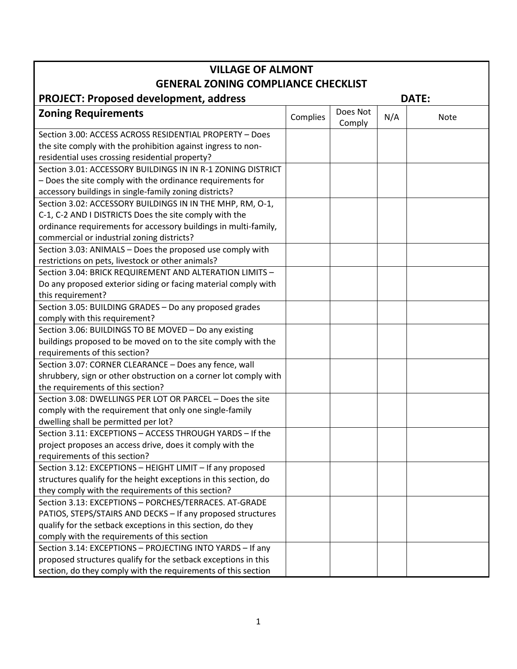| <b>VILLAGE OF ALMONT</b>                                         |          |                    |     |             |  |  |  |  |
|------------------------------------------------------------------|----------|--------------------|-----|-------------|--|--|--|--|
| <b>GENERAL ZONING COMPLIANCE CHECKLIST</b>                       |          |                    |     |             |  |  |  |  |
| <b>PROJECT: Proposed development, address</b><br><b>DATE:</b>    |          |                    |     |             |  |  |  |  |
| <b>Zoning Requirements</b>                                       | Complies | Does Not<br>Comply | N/A | <b>Note</b> |  |  |  |  |
| Section 3.00: ACCESS ACROSS RESIDENTIAL PROPERTY - Does          |          |                    |     |             |  |  |  |  |
| the site comply with the prohibition against ingress to non-     |          |                    |     |             |  |  |  |  |
| residential uses crossing residential property?                  |          |                    |     |             |  |  |  |  |
| Section 3.01: ACCESSORY BUILDINGS IN IN R-1 ZONING DISTRICT      |          |                    |     |             |  |  |  |  |
| - Does the site comply with the ordinance requirements for       |          |                    |     |             |  |  |  |  |
| accessory buildings in single-family zoning districts?           |          |                    |     |             |  |  |  |  |
| Section 3.02: ACCESSORY BUILDINGS IN IN THE MHP, RM, O-1,        |          |                    |     |             |  |  |  |  |
| C-1, C-2 AND I DISTRICTS Does the site comply with the           |          |                    |     |             |  |  |  |  |
| ordinance requirements for accessory buildings in multi-family,  |          |                    |     |             |  |  |  |  |
| commercial or industrial zoning districts?                       |          |                    |     |             |  |  |  |  |
| Section 3.03: ANIMALS - Does the proposed use comply with        |          |                    |     |             |  |  |  |  |
| restrictions on pets, livestock or other animals?                |          |                    |     |             |  |  |  |  |
| Section 3.04: BRICK REQUIREMENT AND ALTERATION LIMITS -          |          |                    |     |             |  |  |  |  |
| Do any proposed exterior siding or facing material comply with   |          |                    |     |             |  |  |  |  |
| this requirement?                                                |          |                    |     |             |  |  |  |  |
| Section 3.05: BUILDING GRADES - Do any proposed grades           |          |                    |     |             |  |  |  |  |
| comply with this requirement?                                    |          |                    |     |             |  |  |  |  |
| Section 3.06: BUILDINGS TO BE MOVED - Do any existing            |          |                    |     |             |  |  |  |  |
| buildings proposed to be moved on to the site comply with the    |          |                    |     |             |  |  |  |  |
| requirements of this section?                                    |          |                    |     |             |  |  |  |  |
| Section 3.07: CORNER CLEARANCE - Does any fence, wall            |          |                    |     |             |  |  |  |  |
| shrubbery, sign or other obstruction on a corner lot comply with |          |                    |     |             |  |  |  |  |
| the requirements of this section?                                |          |                    |     |             |  |  |  |  |
| Section 3.08: DWELLINGS PER LOT OR PARCEL - Does the site        |          |                    |     |             |  |  |  |  |
| comply with the requirement that only one single-family          |          |                    |     |             |  |  |  |  |
| dwelling shall be permitted per lot?                             |          |                    |     |             |  |  |  |  |
| Section 3.11: EXCEPTIONS - ACCESS THROUGH YARDS - If the         |          |                    |     |             |  |  |  |  |
| project proposes an access drive, does it comply with the        |          |                    |     |             |  |  |  |  |
| requirements of this section?                                    |          |                    |     |             |  |  |  |  |
| Section 3.12: EXCEPTIONS - HEIGHT LIMIT - If any proposed        |          |                    |     |             |  |  |  |  |
| structures qualify for the height exceptions in this section, do |          |                    |     |             |  |  |  |  |
| they comply with the requirements of this section?               |          |                    |     |             |  |  |  |  |
| Section 3.13: EXCEPTIONS - PORCHES/TERRACES. AT-GRADE            |          |                    |     |             |  |  |  |  |
| PATIOS, STEPS/STAIRS AND DECKS - If any proposed structures      |          |                    |     |             |  |  |  |  |
| qualify for the setback exceptions in this section, do they      |          |                    |     |             |  |  |  |  |
| comply with the requirements of this section                     |          |                    |     |             |  |  |  |  |
| Section 3.14: EXCEPTIONS - PROJECTING INTO YARDS - If any        |          |                    |     |             |  |  |  |  |
| proposed structures qualify for the setback exceptions in this   |          |                    |     |             |  |  |  |  |
| section, do they comply with the requirements of this section    |          |                    |     |             |  |  |  |  |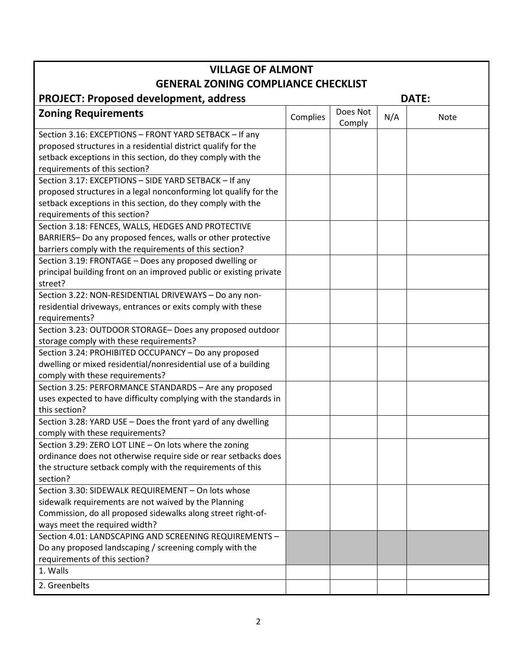| <b>VILLAGE OF ALMONT</b>                                                                                                  |          |                    |     |             |  |  |  |
|---------------------------------------------------------------------------------------------------------------------------|----------|--------------------|-----|-------------|--|--|--|
| <b>GENERAL ZONING COMPLIANCE CHECKLIST</b>                                                                                |          |                    |     |             |  |  |  |
| <b>PROJECT: Proposed development, address</b><br>DATE:                                                                    |          |                    |     |             |  |  |  |
| <b>Zoning Requirements</b>                                                                                                | Complies | Does Not<br>Comply | N/A | <b>Note</b> |  |  |  |
| Section 3.16: EXCEPTIONS - FRONT YARD SETBACK - If any                                                                    |          |                    |     |             |  |  |  |
| proposed structures in a residential district qualify for the                                                             |          |                    |     |             |  |  |  |
| setback exceptions in this section, do they comply with the                                                               |          |                    |     |             |  |  |  |
| requirements of this section?                                                                                             |          |                    |     |             |  |  |  |
| Section 3.17: EXCEPTIONS - SIDE YARD SETBACK - If any                                                                     |          |                    |     |             |  |  |  |
| proposed structures in a legal nonconforming lot qualify for the                                                          |          |                    |     |             |  |  |  |
| setback exceptions in this section, do they comply with the<br>requirements of this section?                              |          |                    |     |             |  |  |  |
| Section 3.18: FENCES, WALLS, HEDGES AND PROTECTIVE                                                                        |          |                    |     |             |  |  |  |
| BARRIERS- Do any proposed fences, walls or other protective                                                               |          |                    |     |             |  |  |  |
| barriers comply with the requirements of this section?                                                                    |          |                    |     |             |  |  |  |
| Section 3.19: FRONTAGE - Does any proposed dwelling or                                                                    |          |                    |     |             |  |  |  |
| principal building front on an improved public or existing private                                                        |          |                    |     |             |  |  |  |
| street?                                                                                                                   |          |                    |     |             |  |  |  |
| Section 3.22: NON-RESIDENTIAL DRIVEWAYS - Do any non-                                                                     |          |                    |     |             |  |  |  |
| residential driveways, entrances or exits comply with these                                                               |          |                    |     |             |  |  |  |
| requirements?                                                                                                             |          |                    |     |             |  |  |  |
| Section 3.23: OUTDOOR STORAGE- Does any proposed outdoor                                                                  |          |                    |     |             |  |  |  |
| storage comply with these requirements?                                                                                   |          |                    |     |             |  |  |  |
| Section 3.24: PROHIBITED OCCUPANCY - Do any proposed                                                                      |          |                    |     |             |  |  |  |
| dwelling or mixed residential/nonresidential use of a building                                                            |          |                    |     |             |  |  |  |
| comply with these requirements?                                                                                           |          |                    |     |             |  |  |  |
| Section 3.25: PERFORMANCE STANDARDS - Are any proposed                                                                    |          |                    |     |             |  |  |  |
| uses expected to have difficulty complying with the standards in                                                          |          |                    |     |             |  |  |  |
| this section?                                                                                                             |          |                    |     |             |  |  |  |
| Section 3.28: YARD USE - Does the front yard of any dwelling                                                              |          |                    |     |             |  |  |  |
| comply with these requirements?                                                                                           |          |                    |     |             |  |  |  |
| Section 3.29: ZERO LOT LINE - On lots where the zoning<br>ordinance does not otherwise require side or rear setbacks does |          |                    |     |             |  |  |  |
| the structure setback comply with the requirements of this                                                                |          |                    |     |             |  |  |  |
| section?                                                                                                                  |          |                    |     |             |  |  |  |
| Section 3.30: SIDEWALK REQUIREMENT - On lots whose                                                                        |          |                    |     |             |  |  |  |
| sidewalk requirements are not waived by the Planning                                                                      |          |                    |     |             |  |  |  |
| Commission, do all proposed sidewalks along street right-of-                                                              |          |                    |     |             |  |  |  |
| ways meet the required width?                                                                                             |          |                    |     |             |  |  |  |
| Section 4.01: LANDSCAPING AND SCREENING REQUIREMENTS -                                                                    |          |                    |     |             |  |  |  |
| Do any proposed landscaping / screening comply with the                                                                   |          |                    |     |             |  |  |  |
| requirements of this section?                                                                                             |          |                    |     |             |  |  |  |
| 1. Walls                                                                                                                  |          |                    |     |             |  |  |  |
| 2. Greenbelts                                                                                                             |          |                    |     |             |  |  |  |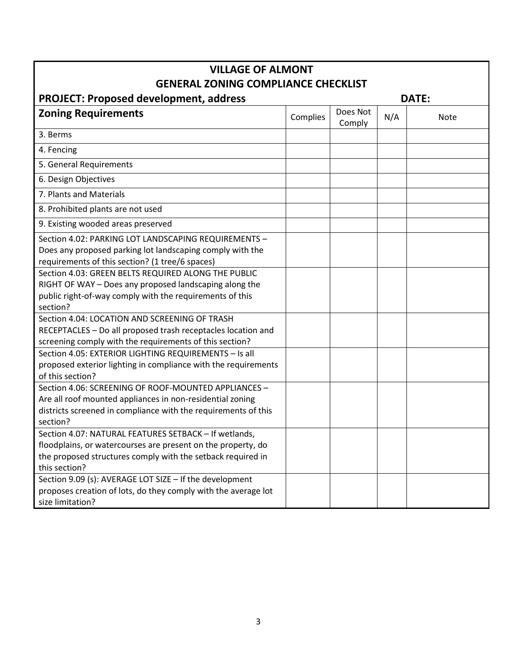| <b>VILLAGE OF ALMONT</b>                                       |                                |  |  |  |  |  |  |  |
|----------------------------------------------------------------|--------------------------------|--|--|--|--|--|--|--|
| <b>GENERAL ZONING COMPLIANCE CHECKLIST</b>                     |                                |  |  |  |  |  |  |  |
| <b>PROJECT: Proposed development, address</b><br><b>DATE:</b>  |                                |  |  |  |  |  |  |  |
| <b>Zoning Requirements</b>                                     | Does Not<br>Complies<br>Comply |  |  |  |  |  |  |  |
| 3. Berms                                                       |                                |  |  |  |  |  |  |  |
| 4. Fencing                                                     |                                |  |  |  |  |  |  |  |
| 5. General Requirements                                        |                                |  |  |  |  |  |  |  |
| 6. Design Objectives                                           |                                |  |  |  |  |  |  |  |
| 7. Plants and Materials                                        |                                |  |  |  |  |  |  |  |
| 8. Prohibited plants are not used                              |                                |  |  |  |  |  |  |  |
| 9. Existing wooded areas preserved                             |                                |  |  |  |  |  |  |  |
| Section 4.02: PARKING LOT LANDSCAPING REQUIREMENTS -           |                                |  |  |  |  |  |  |  |
| Does any proposed parking lot landscaping comply with the      |                                |  |  |  |  |  |  |  |
| requirements of this section? (1 tree/6 spaces)                |                                |  |  |  |  |  |  |  |
| Section 4.03: GREEN BELTS REQUIRED ALONG THE PUBLIC            |                                |  |  |  |  |  |  |  |
| RIGHT OF WAY - Does any proposed landscaping along the         |                                |  |  |  |  |  |  |  |
| public right-of-way comply with the requirements of this       |                                |  |  |  |  |  |  |  |
| section?                                                       |                                |  |  |  |  |  |  |  |
| Section 4.04: LOCATION AND SCREENING OF TRASH                  |                                |  |  |  |  |  |  |  |
| RECEPTACLES - Do all proposed trash receptacles location and   |                                |  |  |  |  |  |  |  |
| screening comply with the requirements of this section?        |                                |  |  |  |  |  |  |  |
| Section 4.05: EXTERIOR LIGHTING REQUIREMENTS - Is all          |                                |  |  |  |  |  |  |  |
| proposed exterior lighting in compliance with the requirements |                                |  |  |  |  |  |  |  |
| of this section?                                               |                                |  |  |  |  |  |  |  |
| Section 4.06: SCREENING OF ROOF-MOUNTED APPLIANCES -           |                                |  |  |  |  |  |  |  |
| Are all roof mounted appliances in non-residential zoning      |                                |  |  |  |  |  |  |  |
| districts screened in compliance with the requirements of this |                                |  |  |  |  |  |  |  |
| section?                                                       |                                |  |  |  |  |  |  |  |
| Section 4.07: NATURAL FEATURES SETBACK - If wetlands,          |                                |  |  |  |  |  |  |  |
| floodplains, or watercourses are present on the property, do   |                                |  |  |  |  |  |  |  |
| the proposed structures comply with the setback required in    |                                |  |  |  |  |  |  |  |
| this section?                                                  |                                |  |  |  |  |  |  |  |
| Section 9.09 (s): AVERAGE LOT SIZE - If the development        |                                |  |  |  |  |  |  |  |
| proposes creation of lots, do they comply with the average lot |                                |  |  |  |  |  |  |  |
| size limitation?                                               |                                |  |  |  |  |  |  |  |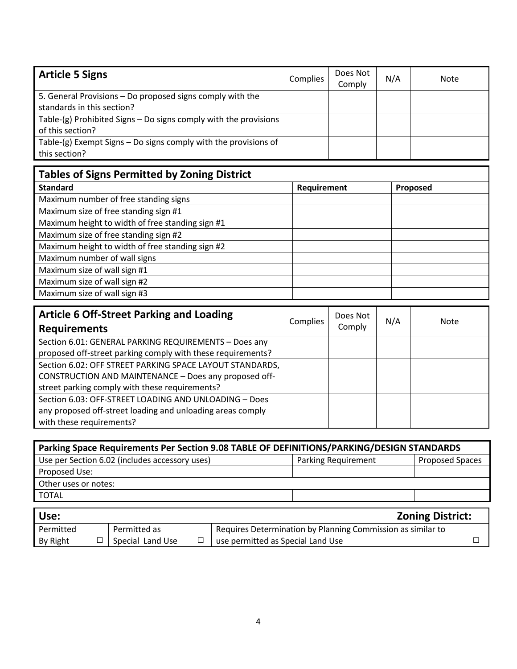| <b>Article 5 Signs</b>                                             | Complies | Does Not<br>Comply | N/A | Note |
|--------------------------------------------------------------------|----------|--------------------|-----|------|
| 5. General Provisions – Do proposed signs comply with the          |          |                    |     |      |
| standards in this section?                                         |          |                    |     |      |
| Table-(g) Prohibited Signs - Do signs comply with the provisions   |          |                    |     |      |
| of this section?                                                   |          |                    |     |      |
| Table- $(g)$ Exempt Signs – Do signs comply with the provisions of |          |                    |     |      |
| this section?                                                      |          |                    |     |      |

| <b>Tables of Signs Permitted by Zoning District</b> |             |          |  |  |  |  |  |
|-----------------------------------------------------|-------------|----------|--|--|--|--|--|
| <b>Standard</b>                                     | Requirement | Proposed |  |  |  |  |  |
| Maximum number of free standing signs               |             |          |  |  |  |  |  |
| Maximum size of free standing sign #1               |             |          |  |  |  |  |  |
| Maximum height to width of free standing sign #1    |             |          |  |  |  |  |  |
| Maximum size of free standing sign #2               |             |          |  |  |  |  |  |
| Maximum height to width of free standing sign #2    |             |          |  |  |  |  |  |
| Maximum number of wall signs                        |             |          |  |  |  |  |  |
| Maximum size of wall sign #1                        |             |          |  |  |  |  |  |
| Maximum size of wall sign #2                        |             |          |  |  |  |  |  |
| Maximum size of wall sign #3                        |             |          |  |  |  |  |  |

| <b>Article 6 Off-Street Parking and Loading</b>             | Complies | Does Not | N/A | Note |
|-------------------------------------------------------------|----------|----------|-----|------|
| <b>Requirements</b>                                         |          | Comply   |     |      |
| Section 6.01: GENERAL PARKING REQUIREMENTS - Does any       |          |          |     |      |
| proposed off-street parking comply with these requirements? |          |          |     |      |
| Section 6.02: OFF STREET PARKING SPACE LAYOUT STANDARDS,    |          |          |     |      |
| CONSTRUCTION AND MAINTENANCE - Does any proposed off-       |          |          |     |      |
| street parking comply with these requirements?              |          |          |     |      |
| Section 6.03: OFF-STREET LOADING AND UNLOADING - Does       |          |          |     |      |
| any proposed off-street loading and unloading areas comply  |          |          |     |      |
| with these requirements?                                    |          |          |     |      |

| Parking Space Requirements Per Section 9.08 TABLE OF DEFINITIONS/PARKING/DESIGN STANDARDS |                     |                        |  |  |  |  |
|-------------------------------------------------------------------------------------------|---------------------|------------------------|--|--|--|--|
| Use per Section 6.02 (includes accessory uses)                                            | Parking Requirement | <b>Proposed Spaces</b> |  |  |  |  |
| Proposed Use:                                                                             |                     |                        |  |  |  |  |
| Other uses or notes:                                                                      |                     |                        |  |  |  |  |
| <b>TOTAL</b>                                                                              |                     |                        |  |  |  |  |
|                                                                                           |                     |                        |  |  |  |  |

| Use:      |                  |                                                             | <b>Zoning District:</b> |
|-----------|------------------|-------------------------------------------------------------|-------------------------|
| Permitted | Permitted as     | Requires Determination by Planning Commission as similar to |                         |
| By Right  | Special Land Use | use permitted as Special Land Use                           |                         |